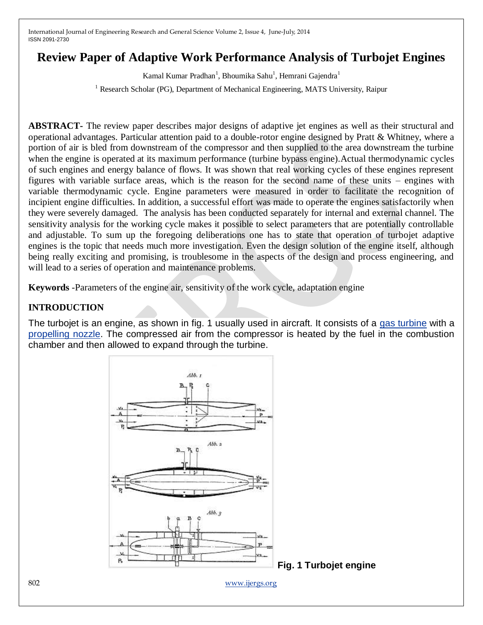# **Review Paper of Adaptive Work Performance Analysis of Turbojet Engines**

Kamal Kumar Pradhan<sup>1</sup>, Bhoumika Sahu<sup>1</sup>, Hemrani Gajendra<sup>1</sup>

<sup>1</sup> Research Scholar (PG), Department of Mechanical Engineering, MATS University, Raipur

**ABSTRACT-** The review paper describes major designs of adaptive jet engines as well as their structural and operational advantages. Particular attention paid to a double-rotor engine designed by Pratt & Whitney, where a portion of air is bled from downstream of the compressor and then supplied to the area downstream the turbine when the engine is operated at its maximum performance (turbine bypass engine). Actual thermodynamic cycles of such engines and energy balance of flows. It was shown that real working cycles of these engines represent figures with variable surface areas, which is the reason for the second name of these units – engines with variable thermodynamic cycle. Engine parameters were measured in order to facilitate the recognition of incipient engine difficulties. In addition, a successful effort was made to operate the engines satisfactorily when they were severely damaged. The analysis has been conducted separately for internal and external channel. The sensitivity analysis for the working cycle makes it possible to select parameters that are potentially controllable and adjustable. To sum up the foregoing deliberations one has to state that operation of turbojet adaptive engines is the topic that needs much more investigation. Even the design solution of the engine itself, although being really exciting and promising, is troublesome in the aspects of the design and process engineering, and will lead to a series of operation and maintenance problems.

**Keywords** -Parameters of the engine air, sensitivity of the work cycle, adaptation engine

### **INTRODUCTION**

The turbojet is an engine, as shown in fig. 1 usually used in aircraft. It consists of a [gas turbine](http://en.wikipedia.org/wiki/Gas_turbine) with a [propelling nozzle.](http://en.wikipedia.org/wiki/Propelling_nozzle) The compressed air from the compressor is heated by the fuel in the combustion chamber and then allowed to expand through the turbine.

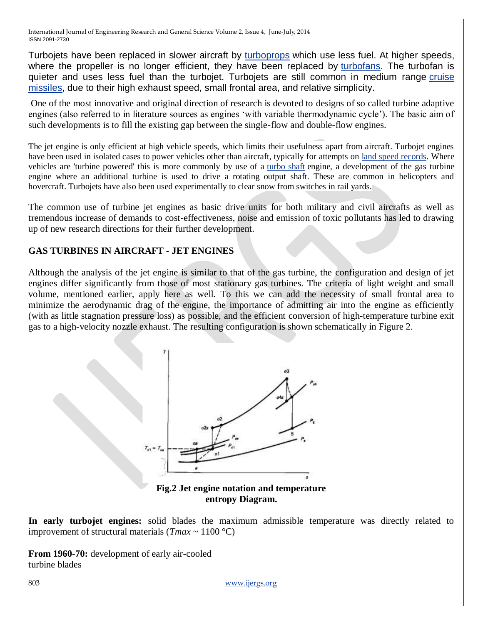Turbojets have been replaced in slower aircraft by [turboprops](http://en.wikipedia.org/wiki/Turboprop) which use less fuel. At higher speeds, where the propeller is no longer efficient, they have been replaced by [turbofans.](http://en.wikipedia.org/wiki/Turbofan) The turbofan is quieter and uses less fuel than the turbojet. Turbojets are still common in medium range [cruise](http://en.wikipedia.org/wiki/Cruise_missile)  [missiles,](http://en.wikipedia.org/wiki/Cruise_missile) due to their high exhaust speed, small frontal area, and relative simplicity.

One of the most innovative and original direction of research is devoted to designs of so called turbine adaptive engines (also referred to in literature sources as engines 'with variable thermodynamic cycle'). The basic aim of such developments is to fill the existing gap between the single-flow and double-flow engines.

The jet engine is only efficient at high vehicle speeds, which limits their usefulness apart from aircraft. Turbojet engines have been used in isolated cases to power vehicles other than aircraft, typically for attempts on [land speed records.](http://en.wikipedia.org/wiki/Land_speed_record) Where vehicles are 'turbine powered' this is more commonly by use of a [turbo shaft](http://en.wikipedia.org/wiki/Turboshaft) engine, a development of the gas turbine engine where an additional turbine is used to drive a rotating output shaft. These are common in helicopters and hovercraft. Turbojets have also been used experimentally to clear snow from switches in rail yards.

The common use of turbine jet engines as basic drive units for both military and civil aircrafts as well as tremendous increase of demands to cost-effectiveness, noise and emission of toxic pollutants has led to drawing up of new research directions for their further development.

#### **GAS TURBINES IN AIRCRAFT - JET ENGINES**

Although the analysis of the jet engine is similar to that of the gas turbine, the configuration and design of jet engines differ significantly from those of most stationary gas turbines. The criteria of light weight and small volume, mentioned earlier, apply here as well. To this we can add the necessity of small frontal area to minimize the aerodynamic drag of the engine, the importance of admitting air into the engine as efficiently (with as little stagnation pressure loss) as possible, and the efficient conversion of high-temperature turbine exit gas to a high-velocity nozzle exhaust. The resulting configuration is shown schematically in Figure 2.



**entropy Diagram.**

**In early turbojet engines:** solid blades the maximum admissible temperature was directly related to improvement of structural materials ( $Tmax \sim 1100$  °C)

**From 1960-70:** development of early air-cooled turbine blades

803 [www.ijergs.org](http://www.ijergs.org/)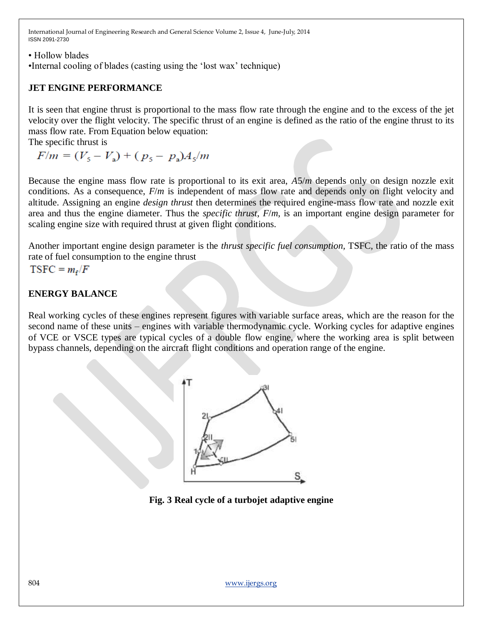• Hollow blades

•Internal cooling of blades (casting using the 'lost wax' technique)

## **JET ENGINE PERFORMANCE**

It is seen that engine thrust is proportional to the mass flow rate through the engine and to the excess of the jet velocity over the flight velocity. The specific thrust of an engine is defined as the ratio of the engine thrust to its mass flow rate. From Equation below equation:

The specific thrust is

 $F/m = (V_5 - V_2) + (p_5 - p_2)A_5/m$ 

Because the engine mass flow rate is proportional to its exit area, *A*5/*m* depends only on design nozzle exit conditions. As a consequence,  $F/m$  is independent of mass flow rate and depends only on flight velocity and altitude. Assigning an engine *design thrust* then determines the required engine-mass flow rate and nozzle exit area and thus the engine diameter. Thus the *specific thrust*, *F*/*m*, is an important engine design parameter for scaling engine size with required thrust at given flight conditions.

Another important engine design parameter is the *thrust specific fuel consumption,* TSFC, the ratio of the mass rate of fuel consumption to the engine thrust

 $TSFC = m_r/F$ 

#### **ENERGY BALANCE**

Real working cycles of these engines represent figures with variable surface areas, which are the reason for the second name of these units – engines with variable thermodynamic cycle. Working cycles for adaptive engines of VCE or VSCE types are typical cycles of a double flow engine, where the working area is split between bypass channels, depending on the aircraft flight conditions and operation range of the engine.



**Fig. 3 Real cycle of a turbojet adaptive engine**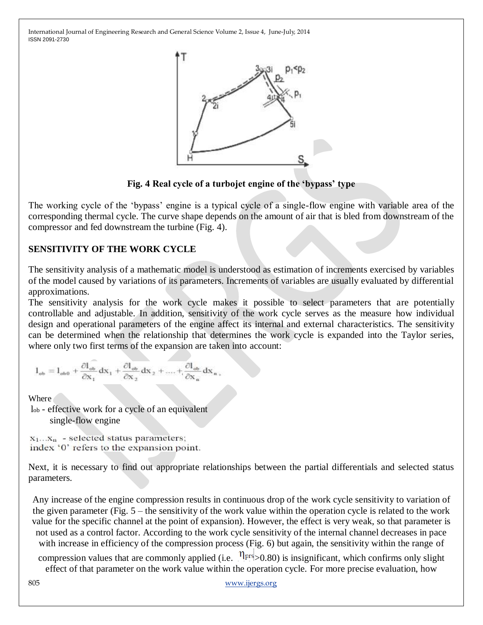

**Fig. 4 Real cycle of a turbojet engine of the 'bypass' type**

The working cycle of the 'bypass' engine is a typical cycle of a single-flow engine with variable area of the corresponding thermal cycle. The curve shape depends on the amount of air that is bled from downstream of the compressor and fed downstream the turbine (Fig. 4).

#### **SENSITIVITY OF THE WORK CYCLE**

The sensitivity analysis of a mathematic model is understood as estimation of increments exercised by variables of the model caused by variations of its parameters. Increments of variables are usually evaluated by differential approximations.

The sensitivity analysis for the work cycle makes it possible to select parameters that are potentially controllable and adjustable. In addition, sensitivity of the work cycle serves as the measure how individual design and operational parameters of the engine affect its internal and external characteristics. The sensitivity can be determined when the relationship that determines the work cycle is expanded into the Taylor series, where only two first terms of the expansion are taken into account:

$$
1_{ob}=1_{ob0}+\frac{\partial l_{ob}}{\partial x_1}\,dx_1+\frac{\partial l_{ob}}{\partial x_2}\,dx_2+....+\frac{\partial l_{ob}}{\partial x_n}\,dx_n\,,
$$

Where

lob - effective work for a cycle of an equivalent single-flow engine

 $x_1...x_n$  - selected status parameters; index '0' refers to the expansion point.

Next, it is necessary to find out appropriate relationships between the partial differentials and selected status parameters.

Any increase of the engine compression results in continuous drop of the work cycle sensitivity to variation of the given parameter (Fig. 5 – the sensitivity of the work value within the operation cycle is related to the work value for the specific channel at the point of expansion). However, the effect is very weak, so that parameter is not used as a control factor. According to the work cycle sensitivity of the internal channel decreases in pace with increase in efficiency of the compression process (Fig. 6) but again, the sensitivity within the range of

compression values that are commonly applied (i.e.  $\eta_{prs} > 0.80$ ) is insignificant, which confirms only slight effect of that parameter on the work value within the operation cycle. For more precise evaluation, how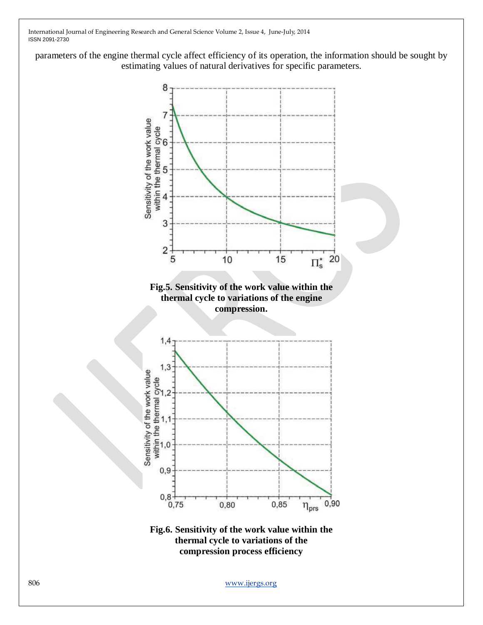parameters of the engine thermal cycle affect efficiency of its operation, the information should be sought by estimating values of natural derivatives for specific parameters.





806 [www.ijergs.org](http://www.ijergs.org/)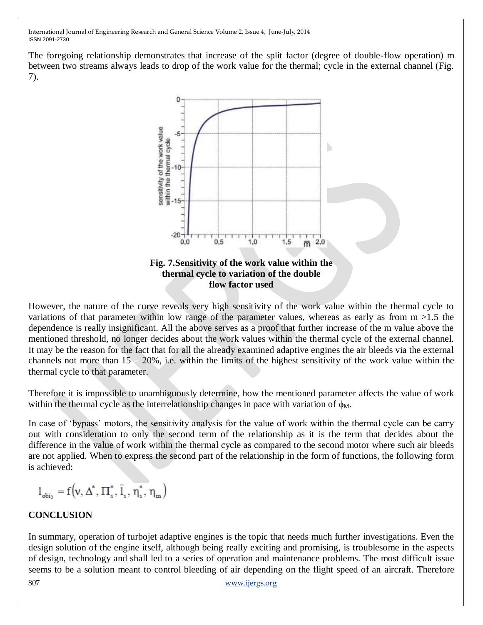The foregoing relationship demonstrates that increase of the split factor (degree of double-flow operation) m between two streams always leads to drop of the work value for the thermal; cycle in the external channel (Fig. 7).



**flow factor used**

However, the nature of the curve reveals very high sensitivity of the work value within the thermal cycle to variations of that parameter within low range of the parameter values, whereas as early as from  $m > 1.5$  the dependence is really insignificant. All the above serves as a proof that further increase of the m value above the mentioned threshold, no longer decides about the work values within the thermal cycle of the external channel. It may be the reason for the fact that for all the already examined adaptive engines the air bleeds via the external channels not more than  $15 - 20\%$ , i.e. within the limits of the highest sensitivity of the work value within the thermal cycle to that parameter.

Therefore it is impossible to unambiguously determine, how the mentioned parameter affects the value of work within the thermal cycle as the interrelationship changes in pace with variation of  $\phi_M$ .

In case of 'bypass' motors, the sensitivity analysis for the value of work within the thermal cycle can be carry out with consideration to only the second term of the relationship as it is the term that decides about the difference in the value of work within the thermal cycle as compared to the second motor where such air bleeds are not applied. When to express the second part of the relationship in the form of functions, the following form is achieved:

$$
\boldsymbol{l}_{\text{obj}_2} = f\Big(\!v,\boldsymbol{\Delta}^*,\boldsymbol{\Pi}_s^*,\boldsymbol{\bar{l}}_s,\boldsymbol{\eta}_s^*,\boldsymbol{\eta}_m\Big)
$$

# **CONCLUSION**

In summary, operation of turbojet adaptive engines is the topic that needs much further investigations. Even the design solution of the engine itself, although being really exciting and promising, is troublesome in the aspects of design, technology and shall led to a series of operation and maintenance problems. The most difficult issue seems to be a solution meant to control bleeding of air depending on the flight speed of an aircraft. Therefore